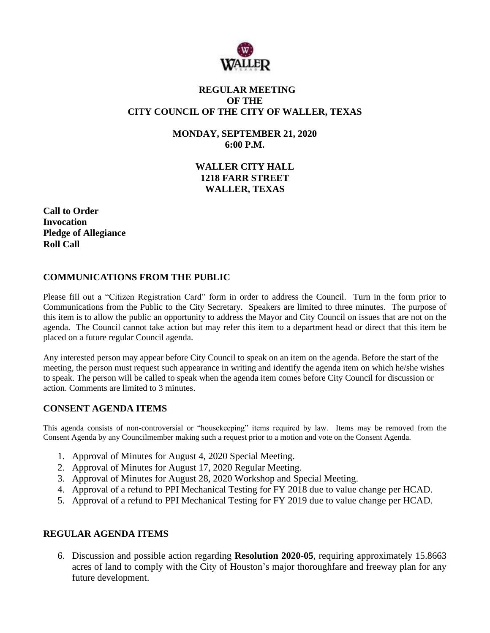

# **REGULAR MEETING OF THE CITY COUNCIL OF THE CITY OF WALLER, TEXAS**

**MONDAY, SEPTEMBER 21, 2020 6:00 P.M.**

> **WALLER CITY HALL 1218 FARR STREET WALLER, TEXAS**

**Call to Order Invocation Pledge of Allegiance Roll Call**

# **COMMUNICATIONS FROM THE PUBLIC**

Please fill out a "Citizen Registration Card" form in order to address the Council. Turn in the form prior to Communications from the Public to the City Secretary. Speakers are limited to three minutes. The purpose of this item is to allow the public an opportunity to address the Mayor and City Council on issues that are not on the agenda. The Council cannot take action but may refer this item to a department head or direct that this item be placed on a future regular Council agenda.

Any interested person may appear before City Council to speak on an item on the agenda. Before the start of the meeting, the person must request such appearance in writing and identify the agenda item on which he/she wishes to speak. The person will be called to speak when the agenda item comes before City Council for discussion or action. Comments are limited to 3 minutes.

#### **CONSENT AGENDA ITEMS**

This agenda consists of non-controversial or "housekeeping" items required by law. Items may be removed from the Consent Agenda by any Councilmember making such a request prior to a motion and vote on the Consent Agenda.

- 1. Approval of Minutes for August 4, 2020 Special Meeting.
- 2. Approval of Minutes for August 17, 2020 Regular Meeting.
- 3. Approval of Minutes for August 28, 2020 Workshop and Special Meeting.
- 4. Approval of a refund to PPI Mechanical Testing for FY 2018 due to value change per HCAD.
- 5. Approval of a refund to PPI Mechanical Testing for FY 2019 due to value change per HCAD.

## **REGULAR AGENDA ITEMS**

6. Discussion and possible action regarding **Resolution 2020-05**, requiring approximately 15.8663 acres of land to comply with the City of Houston's major thoroughfare and freeway plan for any future development.